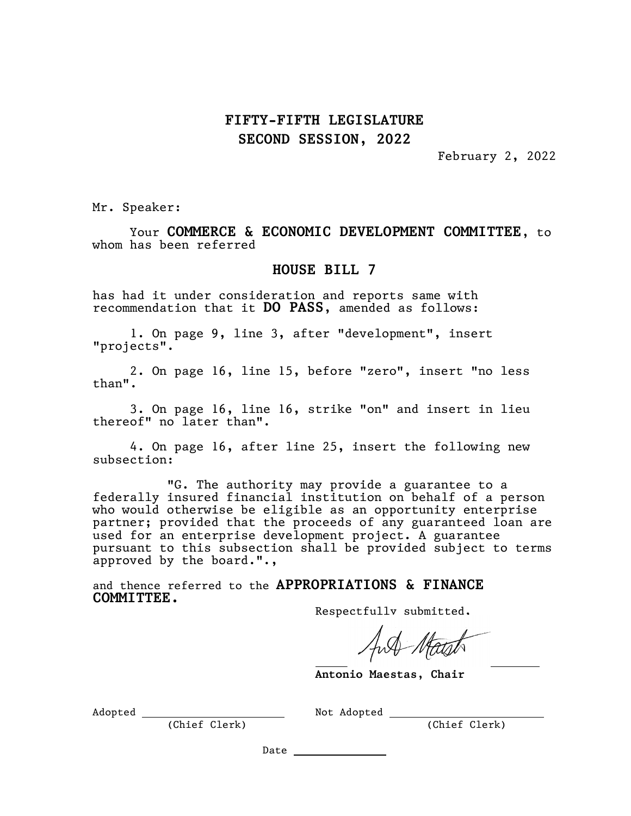## FIFTY-FIFTH LEGISLATURE SECOND SESSION, 2022

February 2, 2022

Mr. Speaker:

Your COMMERCE & ECONOMIC DEVELOPMENT COMMITTEE, to whom has been referred

## HOUSE BILL 7

has had it under consideration and reports same with recommendation that it DO PASS, amended as follows:

1. On page 9, line 3, after "development", insert "projects".

2. On page 16, line 15, before "zero", insert "no less than".

3. On page 16, line 16, strike "on" and insert in lieu thereof" no later than".

4. On page 16, after line 25, insert the following new subsection:

"G. The authority may provide a guarantee to a federally insured financial institution on behalf of a person who would otherwise be eligible as an opportunity enterprise partner; provided that the proceeds of any guaranteed loan are used for an enterprise development project. A guarantee pursuant to this subsection shall be provided subject to terms approved by the board.".,

J.

and thence referred to the APPROPRIATIONS & FINANCE COMMITTEE.

Respectfully submitted,

Antonio Maestas, Chair

Adopted Not Adopted

(Chief Clerk) (Chief Clerk)

Date